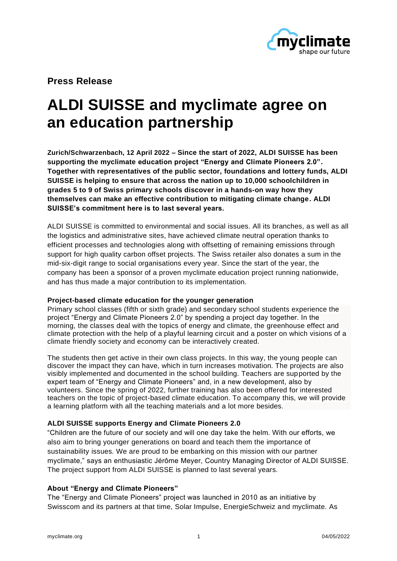

**Press Release**

# **ALDI SUISSE and myclimate agree on an education partnership**

**Zurich/Schwarzenbach, 12 April 2022 – Since the start of 2022, ALDI SUISSE has been supporting the myclimate education project "Energy and Climate Pioneers 2.0". Together with representatives of the public sector, foundations and lottery funds, ALDI SUISSE is helping to ensure that across the nation up to 10,000 schoolchildren in grades 5 to 9 of Swiss primary schools discover in a hands-on way how they themselves can make an effective contribution to mitigating climate change. ALDI SUISSE's commitment here is to last several years.**

ALDI SUISSE is committed to environmental and social issues. All its branches, as well as all the logistics and administrative sites, have achieved climate neutral operation thanks to efficient processes and technologies along with offsetting of remaining emissions through support for high quality carbon offset projects. The Swiss retailer also donates a sum in the mid-six-digit range to social organisations every year. Since the start of the year, the company has been a sponsor of a proven myclimate education project running nationwide, and has thus made a major contribution to its implementation.

## **Project-based climate education for the younger generation**

Primary school classes (fifth or sixth grade) and secondary school students experience the project "Energy and Climate Pioneers 2.0" by spending a project day together. In the morning, the classes deal with the topics of energy and climate, the greenhouse effect and climate protection with the help of a playful learning circuit and a poster on which visions of a climate friendly society and economy can be interactively created.

The students then get active in their own class projects. In this way, the young people can discover the impact they can have, which in turn increases motivation. The projects are also visibly implemented and documented in the school building. Teachers are supported by the expert team of "Energy and Climate Pioneers" and, in a new development, also by volunteers. Since the spring of 2022, further training has also been offered for interested teachers on the topic of project-based climate education. To accompany this, we will provide a learning platform with all the teaching materials and a lot more besides.

# **ALDI SUISSE supports Energy and Climate Pioneers 2.0**

"Children are the future of our society and will one day take the helm. With our efforts, we also aim to bring younger generations on board and teach them the importance of sustainability issues. We are proud to be embarking on this mission with our partner myclimate," says an enthusiastic Jérôme Meyer, Country Managing Director of ALDI SUISSE. The project support from ALDI SUISSE is planned to last several years.

# **About "Energy and Climate Pioneers"**

The "Energy and Climate Pioneers" project was launched in 2010 as an initiative by Swisscom and its partners at that time, Solar Impulse, EnergieSchweiz and myclimate. As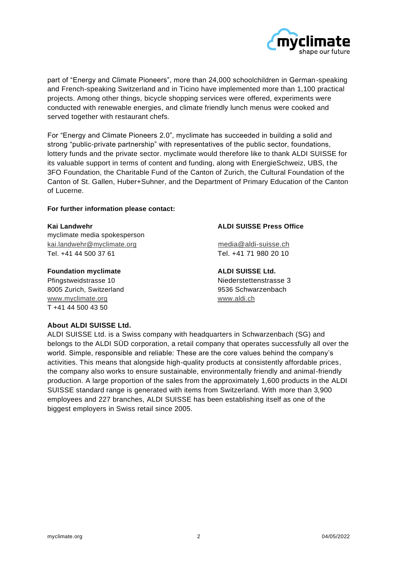

part of "Energy and Climate Pioneers", more than 24,000 schoolchildren in German-speaking and French-speaking Switzerland and in Ticino have implemented more than 1,100 practical projects. Among other things, bicycle shopping services were offered, experiments were conducted with renewable energies, and climate friendly lunch menus were cooked and served together with restaurant chefs.

For "Energy and Climate Pioneers 2.0", myclimate has succeeded in building a solid and strong "public-private partnership" with representatives of the public sector, foundations, lottery funds and the private sector. myclimate would therefore like to thank ALDI SUISSE for its valuable support in terms of content and funding, along with EnergieSchweiz, UBS, the 3FO Foundation, the Charitable Fund of the Canton of Zurich, the Cultural Foundation of the Canton of St. Gallen, Huber+Suhner, and the Department of Primary Education of the Canton of Lucerne.

### **For further information please contact:**

myclimate media spokesperson [kai.landwehr@myclimate.org](mailto:kai.landwehr@myclimate.org) [media@aldi-suisse.ch](mailto:media@aldi-suisse.ch) Tel. +41 44 500 37 61 Tel. +41 71 980 20 10

#### **Foundation myclimate ALDI SUISSE Ltd.**

Pfingstweidstrasse 10 and 10 and 10 and 10 and 10 and 10 and 10 and 10 and 10 and 10 and 10 and 10 and 10 and 1 8005 Zurich, Switzerland 9536 Schwarzenbach [www.myclimate.org](http://www.myclimate.org/) www.aldi.ch T +41 44 500 43 50

### **Kai Landwehr ALDI SUISSE Press Office**

# **About ALDI SUISSE Ltd.**

ALDI SUISSE Ltd. is a Swiss company with headquarters in Schwarzenbach (SG) and belongs to the ALDI SÜD corporation, a retail company that operates successfully all over the world. Simple, responsible and reliable: These are the core values behind the company's activities. This means that alongside high-quality products at consistently affordable prices, the company also works to ensure sustainable, environmentally friendly and animal-friendly production. A large proportion of the sales from the approximately 1,600 products in the ALDI SUISSE standard range is generated with items from Switzerland. With more than 3,900 employees and 227 branches, ALDI SUISSE has been establishing itself as one of the biggest employers in Swiss retail since 2005.